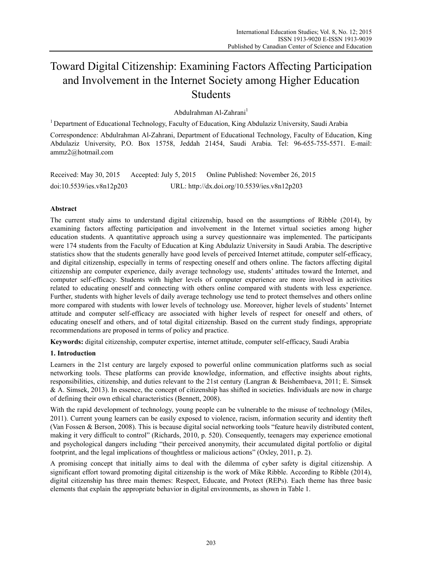# Toward Digital Citizenship: Examining Factors Affecting Participation and Involvement in the Internet Society among Higher Education Students

Abdulrahman Al-Zahrani<sup>1</sup>

1 Department of Educational Technology, Faculty of Education, King Abdulaziz University, Saudi Arabia

Correspondence: Abdulrahman Al-Zahrani, Department of Educational Technology, Faculty of Education, King Abdulaziz University, P.O. Box 15758, Jeddah 21454, Saudi Arabia. Tel: 96-655-755-5571. E-mail: ammz2@hotmail.com

| Received: May 30, 2015    | Accepted: July 5, 2015 | Online Published: November 26, 2015          |
|---------------------------|------------------------|----------------------------------------------|
| doi:10.5539/ies.v8n12p203 |                        | URL: http://dx.doi.org/10.5539/ies.v8n12p203 |

## **Abstract**

The current study aims to understand digital citizenship, based on the assumptions of Ribble (2014), by examining factors affecting participation and involvement in the Internet virtual societies among higher education students. A quantitative approach using a survey questionnaire was implemented. The participants were 174 students from the Faculty of Education at King Abdulaziz University in Saudi Arabia. The descriptive statistics show that the students generally have good levels of perceived Internet attitude, computer self-efficacy, and digital citizenship, especially in terms of respecting oneself and others online. The factors affecting digital citizenship are computer experience, daily average technology use, students' attitudes toward the Internet, and computer self-efficacy. Students with higher levels of computer experience are more involved in activities related to educating oneself and connecting with others online compared with students with less experience. Further, students with higher levels of daily average technology use tend to protect themselves and others online more compared with students with lower levels of technology use. Moreover, higher levels of students' Internet attitude and computer self-efficacy are associated with higher levels of respect for oneself and others, of educating oneself and others, and of total digital citizenship. Based on the current study findings, appropriate recommendations are proposed in terms of policy and practice.

**Keywords:** digital citizenship, computer expertise, internet attitude, computer self-efficacy, Saudi Arabia

## **1. Introduction**

Learners in the 21st century are largely exposed to powerful online communication platforms such as social networking tools. These platforms can provide knowledge, information, and effective insights about rights, responsibilities, citizenship, and duties relevant to the 21st century (Langran & Beishembaeva, 2011; E. Simsek & A. Simsek, 2013). In essence, the concept of citizenship has shifted in societies. Individuals are now in charge of defining their own ethical characteristics (Bennett, 2008).

With the rapid development of technology, young people can be vulnerable to the misuse of technology (Miles, 2011). Current young learners can be easily exposed to violence, racism, information security and identity theft (Van Fossen & Berson, 2008). This is because digital social networking tools "feature heavily distributed content, making it very difficult to control" (Richards, 2010, p. 520). Consequently, teenagers may experience emotional and psychological dangers including "their perceived anonymity, their accumulated digital portfolio or digital footprint, and the legal implications of thoughtless or malicious actions" (Oxley, 2011, p. 2).

A promising concept that initially aims to deal with the dilemma of cyber safety is digital citizenship. A significant effort toward promoting digital citizenship is the work of Mike Ribble. According to Ribble (2014), digital citizenship has three main themes: Respect, Educate, and Protect (REPs). Each theme has three basic elements that explain the appropriate behavior in digital environments, as shown in Table 1.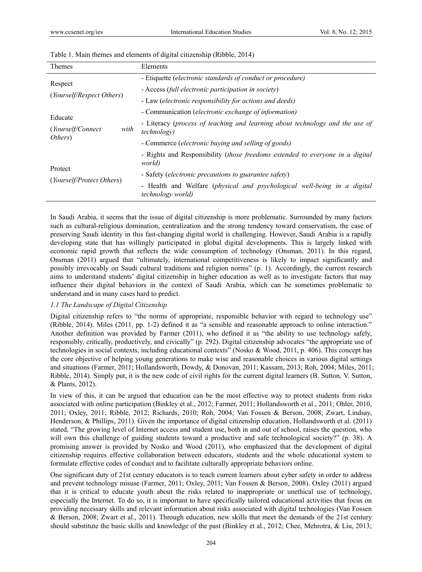| <b>Themes</b>                         | Elements                                                                                             |
|---------------------------------------|------------------------------------------------------------------------------------------------------|
| Respect<br>(Yourself/Respect Others)  | - Etiquette (electronic standards of conduct or procedure)                                           |
|                                       | - Access (full electronic participation in society)                                                  |
|                                       | - Law (electronic responsibility for actions and deeds)                                              |
|                                       | - Communication ( <i>electronic exchange of information</i> )                                        |
| Educate<br>with<br>(Yourself/Connect) | - Literacy (process of teaching and learning about technology and the use of<br><i>technology</i> )  |
| Others)                               | - Commerce ( <i>electronic buying and selling of goods</i> )                                         |
|                                       | - Rights and Responsibility <i>(those freedoms extended to everyone in a digital</i><br>world)       |
| Protect<br>(Yourself/Protect Others)  | - Safety (electronic precautions to guarantee safety)                                                |
|                                       | - Health and Welfare (physical and psychological well-being in a digital<br><i>technology world)</i> |

#### Table 1. Main themes and elements of digital citizenship (Ribble, 2014)

In Saudi Arabia, it seems that the issue of digital citizenship is more problematic. Surrounded by many factors such as cultural-religious domination, centralization and the strong tendency toward conservatism, the case of preserving Saudi identity in this fast-changing digital world is challenging. However, Saudi Arabia is a rapidly developing state that has willingly participated in global digital developments. This is largely linked with economic rapid growth that reflects the wide consumption of technology (Onsman, 2011). In this regard, Onsman (2011) argued that "ultimately, international competitiveness is likely to impact significantly and possibly irrevocably on Saudi cultural traditions and religion norms" (p. 1). Accordingly, the current research aims to understand students' digital citizenship in higher education as well as to investigate factors that may influence their digital behaviors in the context of Saudi Arabia, which can be sometimes problematic to understand and in many cases hard to predict.

#### *1.1 The Landscape of Digital Citizenship*

Digital citizenship refers to "the norms of appropriate, responsible behavior with regard to technology use" (Ribble, 2014). Miles (2011, pp. 1-2) defined it as "a sensible and reasonable approach to online interaction." Another definition was provided by Farmer (2011), who defined it as "the ability to use technology safely, responsibly, critically, productively, and civically" (p. 292). Digital citizenship advocates "the appropriate use of technologies in social contexts, including educational contexts" (Nosko & Wood, 2011, p. 406). This concept has the core objective of helping young generations to make wise and reasonable choices in various digital settings and situations (Farmer, 2011; Hollandsworth, Dowdy, & Donovan, 2011; Kassam, 2013; Roh, 2004; Miles, 2011; Ribble, 2014). Simply put, it is the new code of civil rights for the current digital learners (B. Sutton, V. Sutton, & Plants, 2012).

In view of this, it can be argued that education can be the most effective way to protect students from risks associated with online participation (Binkley et al., 2012; Farmer, 2011; Hollandsworth et al., 2011; Ohler, 2010, 2011; Oxley, 2011; Ribble, 2012; Richards, 2010; Roh, 2004; Van Fossen & Berson, 2008; Zwart, Lindsay, Henderson, & Phillips, 2011). Given the importance of digital citizenship education, Hollandsworth et al. (2011) stated, "The growing level of Internet access and student use, both in and out of school, raises the question, who will own this challenge of guiding students toward a productive and safe technological society?" (p. 38). A promising answer is provided by Nosko and Wood (2011), who emphasized that the development of digital citizenship requires effective collaboration between educators, students and the whole educational system to formulate effective codes of conduct and to facilitate culturally appropriate behaviors online.

One significant duty of 21st century educators is to teach current learners about cyber safety in order to address and prevent technology misuse (Farmer, 2011; Oxley, 2011; Van Fossen & Berson, 2008). Oxley (2011) argued that it is critical to educate youth about the risks related to inappropriate or unethical use of technology, especially the Internet. To do so, it is important to have specifically tailored educational activities that focus on providing necessary skills and relevant information about risks associated with digital technologies (Van Fossen & Berson, 2008; Zwart et al., 2011). Through education, new skills that meet the demands of the 21st century should substitute the basic skills and knowledge of the past (Binkley et al., 2012; Chee, Mehrotra, & Liu, 2013;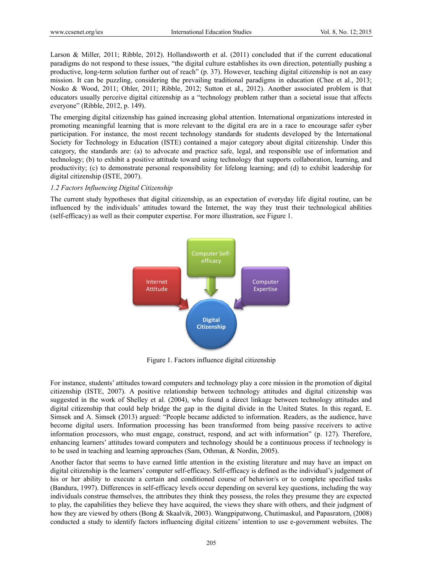Larson & Miller, 2011; Ribble, 2012). Hollandsworth et al. (2011) concluded that if the current educational paradigms do not respond to these issues, "the digital culture establishes its own direction, potentially pushing a productive, long-term solution further out of reach" (p. 37). However, teaching digital citizenship is not an easy mission. It can be puzzling, considering the prevailing traditional paradigms in education (Chee et al., 2013; Nosko & Wood, 2011; Ohler, 2011; Ribble, 2012; Sutton et al., 2012). Another associated problem is that educators usually perceive digital citizenship as a "technology problem rather than a societal issue that affects everyone" (Ribble, 2012, p. 149).

The emerging digital citizenship has gained increasing global attention. International organizations interested in promoting meaningful learning that is more relevant to the digital era are in a race to encourage safer cyber participation. For instance, the most recent technology standards for students developed by the International Society for Technology in Education (ISTE) contained a major category about digital citizenship. Under this category, the standards are: (a) to advocate and practice safe, legal, and responsible use of information and technology; (b) to exhibit a positive attitude toward using technology that supports collaboration, learning, and productivity; (c) to demonstrate personal responsibility for lifelong learning; and (d) to exhibit leadership for digital citizenship (ISTE, 2007). Vol. 8, No. 12;<br>
and that if the current educat<br>
rn direction, potentially push<br>
is digital citizenship is not an<br>
in education (Chee et al., 2<br>
other associated problem is<br>
than a societal issue that at<br>
a race to encoura

#### 1.2 Factors Influencing Digital Citizenship

The current study hypotheses that digital citizenship, as an expectation of everyday life digital routine, can be influenced by the individuals' attitudes toward the Internet, the way they trust their technological abilities (self-efficacy) as well as their computer expertise. For more illustration, see Figure 1.



Figure 1. Factors influence digital citizenship

For instance, students' attitudes toward computers and technology play a core mission in the promotion of digital citizenship (ISTE, 2007). A positive relationship between technology attitudes and digital citizenship was suggested in the work of Shelley et al. (2004), who found a direct linkage between technology attitudes and digital citizenship that could help bridge the gap in the digital divide in the United States. In this regard, E. Simsek and A. Simsek (2013) argued: "People became addicted to information. Readers, as the audience, have become digital users. Information processing has been transformed from being passive receivers to active information processors, who must engage, construct, respond, and act with information" (p. 127). Therefore, enhancing learners' attitudes toward computers and technology should be a continuous process if technology is to be used in teaching and learning approaches (Sam, Othman, & Nordin, 2005).

Another factor that seems to have earned little attention in the existing literature and may have an impact on digital citizenship is the learners' computer self-efficacy. Self-efficacy is defined as the individual's judgement of his or her ability to execute a certain and conditioned course of behavior/s or to complete specified tasks (Bandura, 1997). Differences in self-efficacy levels occur depending on several key questions, including the way individuals construe themselves, the attributes they think they possess, the roles they presume they are expected to play, the capabilities they believe they have acquired, the views they share with others, and their judgment of how they are viewed by others (Bong & Skaalvik, 2003). Wangpipatwong, Chutimaskul, and Papasratorn, (2008) conducted a study to identify factors influencing digital citizens' intention to use e-government websites. The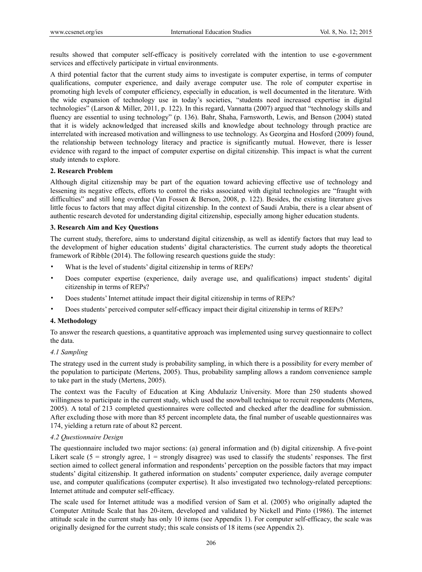results showed that computer self-efficacy is positively correlated with the intention to use e-government services and effectively participate in virtual environments.

A third potential factor that the current study aims to investigate is computer expertise, in terms of computer qualifications, computer experience, and daily average computer use. The role of computer expertise in promoting high levels of computer efficiency, especially in education, is well documented in the literature. With the wide expansion of technology use in today's societies, "students need increased expertise in digital technologies" (Larson & Miller, 2011, p. 122). In this regard, Vannatta (2007) argued that "technology skills and fluency are essential to using technology" (p. 136). Bahr, Shaha, Farnsworth, Lewis, and Benson (2004) stated that it is widely acknowledged that increased skills and knowledge about technology through practice are interrelated with increased motivation and willingness to use technology. As Georgina and Hosford (2009) found, the relationship between technology literacy and practice is significantly mutual. However, there is lesser evidence with regard to the impact of computer expertise on digital citizenship. This impact is what the current study intends to explore.

#### **2. Research Problem**

Although digital citizenship may be part of the equation toward achieving effective use of technology and lessening its negative effects, efforts to control the risks associated with digital technologies are "fraught with difficulties" and still long overdue (Van Fossen & Berson, 2008, p. 122). Besides, the existing literature gives little focus to factors that may affect digital citizenship. In the context of Saudi Arabia, there is a clear absent of authentic research devoted for understanding digital citizenship, especially among higher education students.

#### **3. Research Aim and Key Questions**

The current study, therefore, aims to understand digital citizenship, as well as identify factors that may lead to the development of higher education students' digital characteristics. The current study adopts the theoretical framework of Ribble (2014). The following research questions guide the study:

- What is the level of students' digital citizenship in terms of REPs?
- Does computer expertise (experience, daily average use, and qualifications) impact students' digital citizenship in terms of REPs?
- Does students' Internet attitude impact their digital citizenship in terms of REPs?
- Does students' perceived computer self-efficacy impact their digital citizenship in terms of REPs?

#### **4. Methodology**

To answer the research questions, a quantitative approach was implemented using survey questionnaire to collect the data.

#### *4.1 Sampling*

The strategy used in the current study is probability sampling, in which there is a possibility for every member of the population to participate (Mertens, 2005). Thus, probability sampling allows a random convenience sample to take part in the study (Mertens, 2005).

The context was the Faculty of Education at King Abdulaziz University. More than 250 students showed willingness to participate in the current study, which used the snowball technique to recruit respondents (Mertens, 2005). A total of 213 completed questionnaires were collected and checked after the deadline for submission. After excluding those with more than 85 percent incomplete data, the final number of useable questionnaires was 174, yielding a return rate of about 82 percent.

#### *4.2 Questionnaire Design*

The questionnaire included two major sections: (a) general information and (b) digital citizenship. A five-point Likert scale ( $5 =$  strongly agree,  $1 =$  strongly disagree) was used to classify the students' responses. The first section aimed to collect general information and respondents' perception on the possible factors that may impact students' digital citizenship. It gathered information on students' computer experience, daily average computer use, and computer qualifications (computer expertise). It also investigated two technology-related perceptions: Internet attitude and computer self-efficacy.

The scale used for Internet attitude was a modified version of Sam et al. (2005) who originally adapted the Computer Attitude Scale that has 20-item, developed and validated by Nickell and Pinto (1986). The internet attitude scale in the current study has only 10 items (see Appendix 1). For computer self-efficacy, the scale was originally designed for the current study; this scale consists of 18 items (see Appendix 2).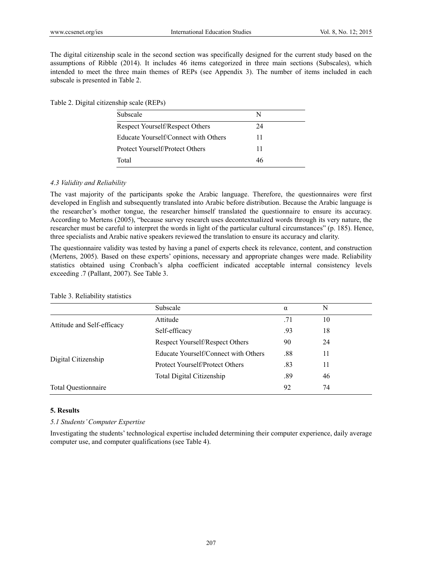The digital citizenship scale in the second section was specifically designed for the current study based on the assumptions of Ribble (2014). It includes 46 items categorized in three main sections (Subscales), which intended to meet the three main themes of REPs (see Appendix 3). The number of items included in each subscale is presented in Table 2.

Table 2. Digital citizenship scale (REPs)

| Subscale                             | N  |  |
|--------------------------------------|----|--|
| Respect Yourself/Respect Others      | 24 |  |
| Educate Yourself/Connect with Others | 11 |  |
| Protect Yourself/Protect Others      | 11 |  |
| Total                                | 46 |  |

#### *4.3 Validity and Reliability*

The vast majority of the participants spoke the Arabic language. Therefore, the questionnaires were first developed in English and subsequently translated into Arabic before distribution. Because the Arabic language is the researcher's mother tongue, the researcher himself translated the questionnaire to ensure its accuracy. According to Mertens (2005), "because survey research uses decontextualized words through its very nature, the researcher must be careful to interpret the words in light of the particular cultural circumstances" (p. 185). Hence, three specialists and Arabic native speakers reviewed the translation to ensure its accuracy and clarity.

The questionnaire validity was tested by having a panel of experts check its relevance, content, and construction (Mertens, 2005). Based on these experts' opinions, necessary and appropriate changes were made. Reliability statistics obtained using Cronbach's alpha coefficient indicated acceptable internal consistency levels exceeding .7 (Pallant, 2007). See Table 3.

| Table 3. Reliability statistics |                                      |          |    |  |
|---------------------------------|--------------------------------------|----------|----|--|
|                                 | Subscale                             | $\alpha$ | N  |  |
|                                 | Attitude                             | .71      | 10 |  |
| Attitude and Self-efficacy      | Self-efficacy                        | .93      | 18 |  |
|                                 | Respect Yourself/Respect Others      | 90       | 24 |  |
|                                 | Educate Yourself/Connect with Others | .88      | 11 |  |
| Digital Citizenship             | Protect Yourself/Protect Others      | .83      | 11 |  |
|                                 | Total Digital Citizenship            | .89      | 46 |  |
| <b>Total Questionnaire</b>      |                                      | 92       | 74 |  |
|                                 |                                      |          |    |  |

#### **5. Results**

#### *5.1 Students' Computer Expertise*

Investigating the students' technological expertise included determining their computer experience, daily average computer use, and computer qualifications (see Table 4).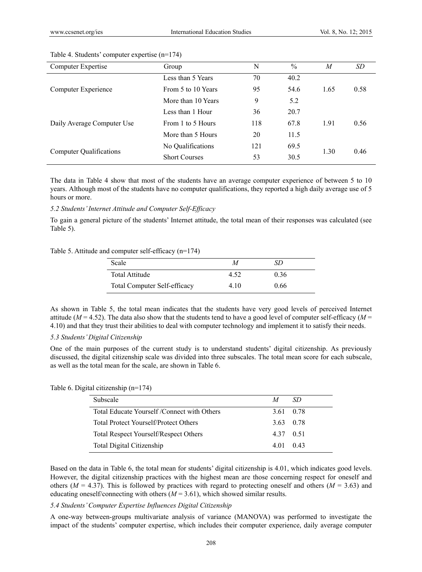| Group                | N   | $\frac{0}{0}$ | M    | SD   |
|----------------------|-----|---------------|------|------|
| Less than 5 Years    | 70  | 40.2          |      |      |
| From 5 to 10 Years   | 95  | 54.6          | 1.65 | 0.58 |
| More than 10 Years   | 9   | 5.2           |      |      |
| Less than 1 Hour     | 36  | 20.7          |      |      |
| From 1 to 5 Hours    | 118 | 67.8          | 1.91 | 0.56 |
| More than 5 Hours    | 20  | 11.5          |      |      |
| No Qualifications    | 121 | 69.5          |      | 0.46 |
| <b>Short Courses</b> | 53  | 30.5          |      |      |
|                      |     |               |      | 1.30 |

#### Table 4. Students' computer expertise (n=174)

The data in Table 4 show that most of the students have an average computer experience of between 5 to 10 years. Although most of the students have no computer qualifications, they reported a high daily average use of 5 hours or more.

#### *5.2 Students' Internet Attitude and Computer Self-Efficacy*

To gain a general picture of the students' Internet attitude, the total mean of their responses was calculated (see Table 5).

#### Table 5. Attitude and computer self-efficacy (n=174)

| Scale                               | М    | SΒ   |  |
|-------------------------------------|------|------|--|
| Total Attitude                      | 4.52 | 0.36 |  |
| <b>Total Computer Self-efficacy</b> | 4.10 | 0.66 |  |

As shown in Table 5, the total mean indicates that the students have very good levels of perceived Internet attitude ( $M = 4.52$ ). The data also show that the students tend to have a good level of computer self-efficacy ( $M =$ 4.10) and that they trust their abilities to deal with computer technology and implement it to satisfy their needs.

#### *5.3 Students' Digital Citizenship*

One of the main purposes of the current study is to understand students' digital citizenship. As previously discussed, the digital citizenship scale was divided into three subscales. The total mean score for each subscale, as well as the total mean for the scale, are shown in Table 6.

#### Table 6. Digital citizenship (n=174)

| Subscale                                     | M | -SD       |
|----------------------------------------------|---|-----------|
| Total Educate Yourself /Connect with Others  |   | 3.61 0.78 |
| Total Protect Yourself/Protect Others        |   | 3.63 0.78 |
| <b>Total Respect Yourself/Respect Others</b> |   | 437 051   |
| Total Digital Citizenship                    |   | 4 01 0 43 |

Based on the data in Table 6, the total mean for students' digital citizenship is 4.01, which indicates good levels. However, the digital citizenship practices with the highest mean are those concerning respect for oneself and others ( $M = 4.37$ ). This is followed by practices with regard to protecting oneself and others ( $M = 3.63$ ) and educating oneself/connecting with others  $(M = 3.61)$ , which showed similar results.

### *5.4 Students' Computer Expertise Influences Digital Citizenship*

A one-way between-groups multivariate analysis of variance (MANOVA) was performed to investigate the impact of the students' computer expertise, which includes their computer experience, daily average computer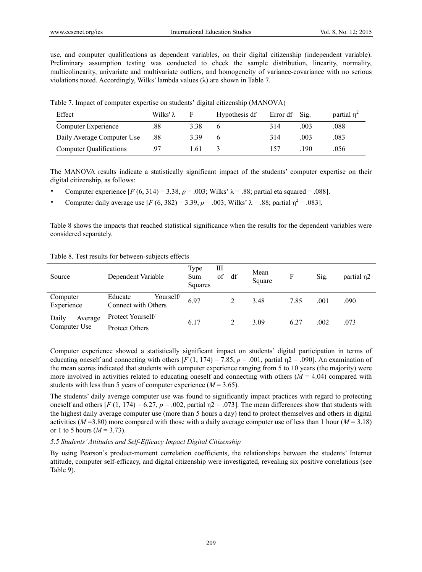use, and computer qualifications as dependent variables, on their digital citizenship (independent variable). Preliminary assumption testing was conducted to check the sample distribution, linearity, normality, multicolinearity, univariate and multivariate outliers, and homogeneity of variance-covariance with no serious violations noted. Accordingly, Wilks' lambda values (λ) are shown in Table 7.

|  |  | Table 7. Impact of computer expertise on students' digital citizenship (MANOVA) |  |
|--|--|---------------------------------------------------------------------------------|--|
|  |  |                                                                                 |  |

| Effect                         | Wilks' λ | F    | Hypothesis df | Error df Sig. |      | partial $\eta^2$ |
|--------------------------------|----------|------|---------------|---------------|------|------------------|
| Computer Experience            | .88      | 3.38 |               | 314           | .003 | .088             |
| Daily Average Computer Use     | .88      | 3.39 |               | 314           | .003 | .083             |
| <b>Computer Qualifications</b> | 97       | 1.61 |               |               | 190  | .056             |

The MANOVA results indicate a statistically significant impact of the students' computer expertise on their digital citizenship, as follows:

- Computer experience [*F* (6, 314) = 3.38, *p* = .003; Wilks' λ = .88; partial eta squared = .088].
- Computer daily average use  $[F (6, 382) = 3.39, p = .003; Wilks' \lambda = .88; partial \eta^2 = .083]$ .

Table 8 shows the impacts that reached statistical significance when the results for the dependent variables were considered separately.

|  | Table 8. Test results for between-subjects effects |  |
|--|----------------------------------------------------|--|
|  |                                                    |  |

| Source                           | Dependent Variable                          | Type<br>Ш<br>οf<br>Sum<br>Squares | df | Mean<br>Square | F    | Sig. | partial $\eta$ 2 |
|----------------------------------|---------------------------------------------|-----------------------------------|----|----------------|------|------|------------------|
| Computer<br>Experience           | Educate<br>Yourself/<br>Connect with Others | 6.97                              | 2  | 3.48           | 7.85 | .001 | .090             |
| Daily<br>Average<br>Computer Use | Protect Yourself/<br><b>Protect Others</b>  | 6.17                              | 2  | 3.09           | 6.27 | .002 | .073             |

Computer experience showed a statistically significant impact on students' digital participation in terms of educating oneself and connecting with others  $[F(1, 174) = 7.85, p = .001$ , partial  $p = .090$ . An examination of the mean scores indicated that students with computer experience ranging from 5 to 10 years (the majority) were more involved in activities related to educating oneself and connecting with others  $(M = 4.04)$  compared with students with less than 5 years of computer experience  $(M = 3.65)$ .

The students' daily average computer use was found to significantly impact practices with regard to protecting oneself and others  $[F(1, 174) = 6.27, p = .002$ , partial  $p = .073$ . The mean differences show that students with the highest daily average computer use (more than 5 hours a day) tend to protect themselves and others in digital activities ( $M = 3.80$ ) more compared with those with a daily average computer use of less than 1 hour ( $M = 3.18$ ) or 1 to 5 hours  $(M = 3.73)$ .

#### *5.5 Students' Attitudes and Self-Efficacy Impact Digital Citizenship*

By using Pearson's product-moment correlation coefficients, the relationships between the students' Internet attitude, computer self-efficacy, and digital citizenship were investigated, revealing six positive correlations (see Table 9).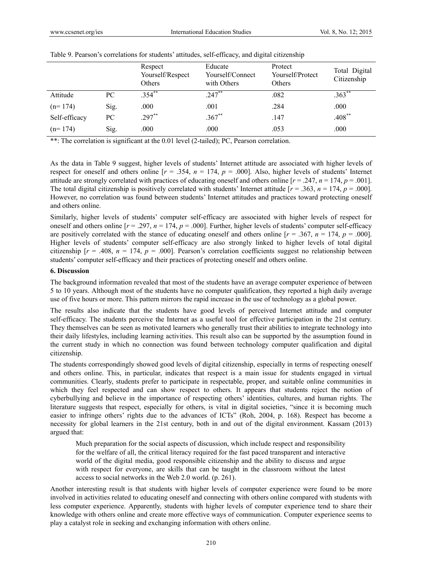|               |      | Respect<br>Yourself/Respect<br>Others | Educate<br>Yourself/Connect<br>with Others | Protect<br>Yourself/Protect<br>Others | Total Digital<br>Citizenship |
|---------------|------|---------------------------------------|--------------------------------------------|---------------------------------------|------------------------------|
| Attitude      | PC   | $.354$ **                             | $.247$ **                                  | .082                                  | $.363^{**}$                  |
| $(n=174)$     | Sig. | .000                                  | .001                                       | .284                                  | .000                         |
| Self-efficacy | PC   | $.297**$                              | $.367**$                                   | .147                                  | $.408$ **                    |
| $(n=174)$     | Sig. | .000                                  | .000                                       | .053                                  | .000                         |

|  | Table 9. Pearson's correlations for students' attitudes, self-efficacy, and digital citizenship |  |  |  |  |  |
|--|-------------------------------------------------------------------------------------------------|--|--|--|--|--|
|--|-------------------------------------------------------------------------------------------------|--|--|--|--|--|

\*\*: The correlation is significant at the 0.01 level (2-tailed); PC, Pearson correlation.

As the data in Table 9 suggest, higher levels of students' Internet attitude are associated with higher levels of respect for oneself and others online  $[r = .354, n = 174, p = .000]$ . Also, higher levels of students' Internet attitude are strongly correlated with practices of educating oneself and others online  $[r = .247, n = 174, p = .001]$ . The total digital citizenship is positively correlated with students' Internet attitude  $[r = .363, n = 174, p = .000]$ . However, no correlation was found between students' Internet attitudes and practices toward protecting oneself and others online.

Similarly, higher levels of students' computer self-efficacy are associated with higher levels of respect for oneself and others online  $[r = .297, n = 174, p = .000]$ . Further, higher levels of students' computer self-efficacy are positively correlated with the stance of educating oneself and others online  $[r = .367, n = 174, p = .000]$ . Higher levels of students' computer self-efficacy are also strongly linked to higher levels of total digital citizenship  $[r = .408, n = 174, p = .000]$ . Pearson's correlation coefficients suggest no relationship between students' computer self-efficacy and their practices of protecting oneself and others online.

#### **6. Discussion**

The background information revealed that most of the students have an average computer experience of between 5 to 10 years. Although most of the students have no computer qualification, they reported a high daily average use of five hours or more. This pattern mirrors the rapid increase in the use of technology as a global power.

The results also indicate that the students have good levels of perceived Internet attitude and computer self-efficacy. The students perceive the Internet as a useful tool for effective participation in the 21st century. They themselves can be seen as motivated learners who generally trust their abilities to integrate technology into their daily lifestyles, including learning activities. This result also can be supported by the assumption found in the current study in which no connection was found between technology computer qualification and digital citizenship.

The students correspondingly showed good levels of digital citizenship, especially in terms of respecting oneself and others online. This, in particular, indicates that respect is a main issue for students engaged in virtual communities. Clearly, students prefer to participate in respectable, proper, and suitable online communities in which they feel respected and can show respect to others. It appears that students reject the notion of cyberbullying and believe in the importance of respecting others' identities, cultures, and human rights. The literature suggests that respect, especially for others, is vital in digital societies, "since it is becoming much easier to infringe others' rights due to the advances of ICTs" (Roh, 2004, p. 168). Respect has become a necessity for global learners in the 21st century, both in and out of the digital environment. Kassam (2013) argued that:

Much preparation for the social aspects of discussion, which include respect and responsibility for the welfare of all, the critical literacy required for the fast paced transparent and interactive world of the digital media, good responsible citizenship and the ability to discuss and argue with respect for everyone, are skills that can be taught in the classroom without the latest access to social networks in the Web 2.0 world. (p. 261).

Another interesting result is that students with higher levels of computer experience were found to be more involved in activities related to educating oneself and connecting with others online compared with students with less computer experience. Apparently, students with higher levels of computer experience tend to share their knowledge with others online and create more effective ways of communication. Computer experience seems to play a catalyst role in seeking and exchanging information with others online.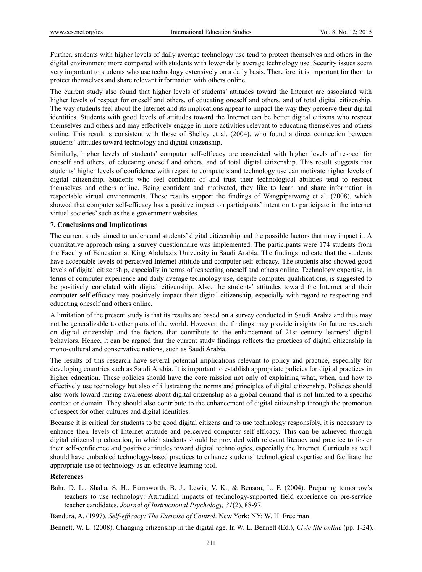Further, students with higher levels of daily average technology use tend to protect themselves and others in the digital environment more compared with students with lower daily average technology use. Security issues seem very important to students who use technology extensively on a daily basis. Therefore, it is important for them to protect themselves and share relevant information with others online.

The current study also found that higher levels of students' attitudes toward the Internet are associated with higher levels of respect for oneself and others, of educating oneself and others, and of total digital citizenship. The way students feel about the Internet and its implications appear to impact the way they perceive their digital identities. Students with good levels of attitudes toward the Internet can be better digital citizens who respect themselves and others and may effectively engage in more activities relevant to educating themselves and others online. This result is consistent with those of Shelley et al. (2004), who found a direct connection between students' attitudes toward technology and digital citizenship.

Similarly, higher levels of students' computer self-efficacy are associated with higher levels of respect for oneself and others, of educating oneself and others, and of total digital citizenship. This result suggests that students' higher levels of confidence with regard to computers and technology use can motivate higher levels of digital citizenship. Students who feel confident of and trust their technological abilities tend to respect themselves and others online. Being confident and motivated, they like to learn and share information in respectable virtual environments. These results support the findings of Wangpipatwong et al. (2008), which showed that computer self-efficacy has a positive impact on participants' intention to participate in the internet virtual societies' such as the e-government websites.

#### **7. Conclusions and Implications**

The current study aimed to understand students' digital citizenship and the possible factors that may impact it. A quantitative approach using a survey questionnaire was implemented. The participants were 174 students from the Faculty of Education at King Abdulaziz University in Saudi Arabia. The findings indicate that the students have acceptable levels of perceived Internet attitude and computer self-efficacy. The students also showed good levels of digital citizenship, especially in terms of respecting oneself and others online. Technology expertise, in terms of computer experience and daily average technology use, despite computer qualifications, is suggested to be positively correlated with digital citizenship. Also, the students' attitudes toward the Internet and their computer self-efficacy may positively impact their digital citizenship, especially with regard to respecting and educating oneself and others online.

A limitation of the present study is that its results are based on a survey conducted in Saudi Arabia and thus may not be generalizable to other parts of the world. However, the findings may provide insights for future research on digital citizenship and the factors that contribute to the enhancement of 21st century learners' digital behaviors. Hence, it can be argued that the current study findings reflects the practices of digital citizenship in mono-cultural and conservative nations, such as Saudi Arabia.

The results of this research have several potential implications relevant to policy and practice, especially for developing countries such as Saudi Arabia. It is important to establish appropriate policies for digital practices in higher education. These policies should have the core mission not only of explaining what, when, and how to effectively use technology but also of illustrating the norms and principles of digital citizenship. Policies should also work toward raising awareness about digital citizenship as a global demand that is not limited to a specific context or domain. They should also contribute to the enhancement of digital citizenship through the promotion of respect for other cultures and digital identities.

Because it is critical for students to be good digital citizens and to use technology responsibly, it is necessary to enhance their levels of Internet attitude and perceived computer self-efficacy. This can be achieved through digital citizenship education, in which students should be provided with relevant literacy and practice to foster their self-confidence and positive attitudes toward digital technologies, especially the Internet. Curricula as well should have embedded technology-based practices to enhance students' technological expertise and facilitate the appropriate use of technology as an effective learning tool.

## **References**

Bahr, D. L., Shaha, S. H., Farnsworth, B. J., Lewis, V. K., & Benson, L. F. (2004). Preparing tomorrow's teachers to use technology: Attitudinal impacts of technology-supported field experience on pre-service teacher candidates. *Journal of Instructional Psychology, 31*(2), 88-97.

Bandura, A. (1997). *Self-efficacy: The Exercise of Control*. New York: NY: W. H. Free man.

Bennett, W. L. (2008). Changing citizenship in the digital age. In W. L. Bennett (Ed.), *Civic life online* (pp. 1-24).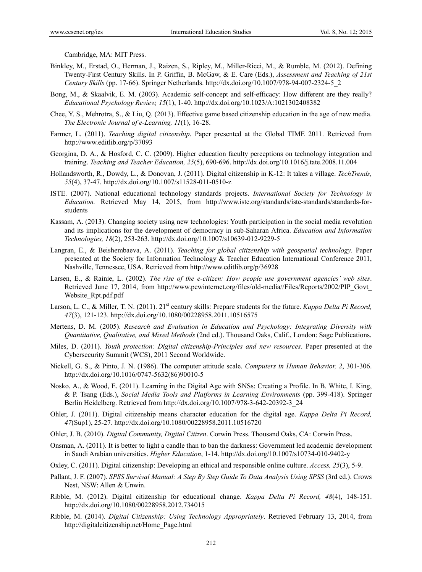Cambridge, MA: MIT Press.

- Binkley, M., Erstad, O., Herman, J., Raizen, S., Ripley, M., Miller-Ricci, M., & Rumble, M. (2012). Defining Twenty-First Century Skills. In P. Griffin, B. McGaw, & E. Care (Eds.), *Assessment and Teaching of 21st Century Skills* (pp. 17-66). Springer Netherlands. http://dx.doi.org/10.1007/978-94-007-2324-5\_2
- Bong, M., & Skaalvik, E. M. (2003). Academic self-concept and self-efficacy: How different are they really? *Educational Psychology Review, 15*(1), 1-40. http://dx.doi.org/10.1023/A:1021302408382
- Chee, Y. S., Mehrotra, S., & Liu, Q. (2013). Effective game based citizenship education in the age of new media. *The Electronic Journal of e-Learning, 11*(1), 16-28.
- Farmer, L. (2011). *Teaching digital citizenship*. Paper presented at the Global TIME 2011. Retrieved from http://www.editlib.org/p/37093
- Georgina, D. A., & Hosford, C. C. (2009). Higher education faculty perceptions on technology integration and training. *Teaching and Teacher Education, 25*(5), 690-696. http://dx.doi.org/10.1016/j.tate.2008.11.004
- Hollandsworth, R., Dowdy, L., & Donovan, J. (2011). Digital citizenship in K-12: It takes a village. *TechTrends, 55*(4), 37-47. http://dx.doi.org/10.1007/s11528-011-0510-z
- ISTE. (2007). National educational technology standards projects. *International Society for Technology in Education.* Retrieved May 14, 2015, from http://www.iste.org/standards/iste-standards/standards-forstudents
- Kassam, A. (2013). Changing society using new technologies: Youth participation in the social media revolution and its implications for the development of democracy in sub-Saharan Africa. *Education and Information Technologies, 18*(2), 253-263. http://dx.doi.org/10.1007/s10639-012-9229-5
- Langran, E., & Beishembaeva, A. (2011). *Teaching for global citizenship with geospatial technology*. Paper presented at the Society for Information Technology & Teacher Education International Conference 2011, Nashville, Tennessee, USA. Retrieved from http://www.editlib.org/p/36928
- Larsen, E., & Rainie, L. (2002). *The rise of the e-citizen: How people use government agencies' web sites*. Retrieved June 17, 2014, from http://www.pewinternet.org/files/old-media//Files/Reports/2002/PIP\_Govt\_ Website\_Rpt.pdf.pdf
- Larson, L. C., & Miller, T. N. (2011). 21<sup>st</sup> century skills: Prepare students for the future. *Kappa Delta Pi Record*, *47*(3), 121-123. http://dx.doi.org/10.1080/00228958.2011.10516575
- Mertens, D. M. (2005). *Research and Evaluation in Education and Psychology: Integrating Diversity with Quantitative, Qualitative, and Mixed Methods* (2nd ed.). Thousand Oaks, Calif., London: Sage Publications.
- Miles, D. (2011). *Youth protection: Digital citizenship-Principles and new resources*. Paper presented at the Cybersecurity Summit (WCS), 2011 Second Worldwide.
- Nickell, G. S., & Pinto, J. N. (1986). The computer attitude scale. *Computers in Human Behavior, 2*, 301-306. http://dx.doi.org/10.1016/0747-5632(86)90010-5
- Nosko, A., & Wood, E. (2011). Learning in the Digital Age with SNSs: Creating a Profile. In B. White, I. King, & P. Tsang (Eds.), *Social Media Tools and Platforms in Learning Environments* (pp. 399-418). Springer Berlin Heidelberg. Retrieved from http://dx.doi.org/10.1007/978-3-642-20392-3\_24
- Ohler, J. (2011). Digital citizenship means character education for the digital age. *Kappa Delta Pi Record, 47*(Sup1), 25-27. http://dx.doi.org/10.1080/00228958.2011.10516720
- Ohler, J. B. (2010). *Digital Community, Digital Citizen*. Corwin Press. Thousand Oaks, CA: Corwin Press.
- Onsman, A. (2011). It is better to light a candle than to ban the darkness: Government led academic development in Saudi Arabian universities. *Higher Education*, 1-14. http://dx.doi.org/10.1007/s10734-010-9402-y
- Oxley, C. (2011). Digital citizenship: Developing an ethical and responsible online culture. *Access, 25*(3), 5-9.
- Pallant, J. F. (2007). *SPSS Survival Manual: A Step By Step Guide To Data Analysis Using SPSS* (3rd ed.). Crows Nest, NSW: Allen & Unwin.
- Ribble, M. (2012). Digital citizenship for educational change. *Kappa Delta Pi Record, 48*(4), 148-151. http://dx.doi.org/10.1080/00228958.2012.734015
- Ribble, M. (2014). *Digital Citizenship: Using Technology Appropriately*. Retrieved February 13, 2014, from http://digitalcitizenship.net/Home\_Page.html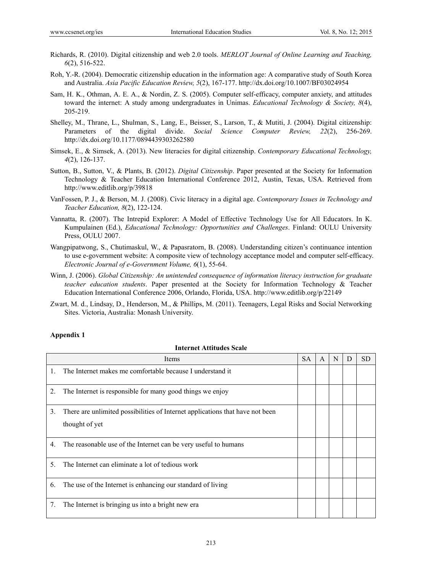- Richards, R. (2010). Digital citizenship and web 2.0 tools. *MERLOT Journal of Online Learning and Teaching, 6*(2), 516-522.
- Roh, Y.-R. (2004). Democratic citizenship education in the information age: A comparative study of South Korea and Australia. *Asia Pacific Education Review, 5*(2), 167-177. http://dx.doi.org/10.1007/BF03024954
- Sam, H. K., Othman, A. E. A., & Nordin, Z. S. (2005). Computer self-efficacy, computer anxiety, and attitudes toward the internet: A study among undergraduates in Unimas. *Educational Technology & Society, 8*(4), 205-219.
- Shelley, M., Thrane, L., Shulman, S., Lang, E., Beisser, S., Larson, T., & Mutiti, J. (2004). Digital citizenship: Parameters of the digital divide. *Social Science Computer Review, 22*(2), 256-269. http://dx.doi.org/10.1177/0894439303262580
- Simsek, E., & Simsek, A. (2013). New literacies for digital citizenship. *Contemporary Educational Technology, 4*(2), 126-137.
- Sutton, B., Sutton, V., & Plants, B. (2012). *Digital Citizenship*. Paper presented at the Society for Information Technology & Teacher Education International Conference 2012, Austin, Texas, USA. Retrieved from http://www.editlib.org/p/39818
- VanFossen, P. J., & Berson, M. J. (2008). Civic literacy in a digital age. *Contemporary Issues in Technology and Teacher Education, 8*(2), 122-124.
- Vannatta, R. (2007). The Intrepid Explorer: A Model of Effective Technology Use for All Educators. In K. Kumpulainen (Ed.), *Educational Technology: Opportunities and Challenges*. Finland: OULU University Press, OULU 2007.
- Wangpipatwong, S., Chutimaskul, W., & Papasratorn, B. (2008). Understanding citizen's continuance intention to use e-government website: A composite view of technology acceptance model and computer self-efficacy. *Electronic Journal of e-Government Volume, 6*(1), 55-64.
- Winn, J. (2006). *Global Citizenship: An unintended consequence of information literacy instruction for graduate teacher education students*. Paper presented at the Society for Information Technology & Teacher Education International Conference 2006, Orlando, Florida, USA. http://www.editlib.org/p/22149
- Zwart, M. d., Lindsay, D., Henderson, M., & Phillips, M. (2011). Teenagers, Legal Risks and Social Networking Sites. Victoria, Australia: Monash University.

#### **Appendix 1**

|    | Items                                                                         | <b>SA</b> | $\overline{A}$ | N | D | SD |
|----|-------------------------------------------------------------------------------|-----------|----------------|---|---|----|
| 1. | The Internet makes me comfortable because I understand it                     |           |                |   |   |    |
| 2. | The Internet is responsible for many good things we enjoy                     |           |                |   |   |    |
| 3. | There are unlimited possibilities of Internet applications that have not been |           |                |   |   |    |
|    | thought of yet                                                                |           |                |   |   |    |
| 4. | The reasonable use of the Internet can be very useful to humans               |           |                |   |   |    |
| 5. | The Internet can eliminate a lot of tedious work                              |           |                |   |   |    |
| 6. | The use of the Internet is enhancing our standard of living                   |           |                |   |   |    |
| 7. | The Internet is bringing us into a bright new era                             |           |                |   |   |    |

#### **Internet Attitudes Scale**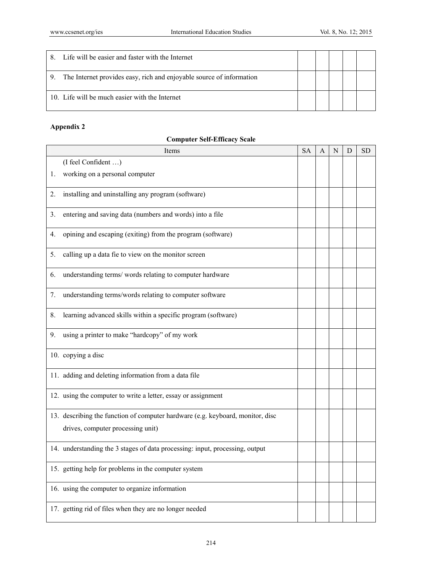| 8  | Life will be easier and faster with the Internet                     |  |  |  |
|----|----------------------------------------------------------------------|--|--|--|
| 9. | The Internet provides easy, rich and enjoyable source of information |  |  |  |
|    | 10. Life will be much easier with the Internet                       |  |  |  |

# **Appendix 2**

| Items |                                                                                | <b>SA</b> | A | N | D | <b>SD</b> |
|-------|--------------------------------------------------------------------------------|-----------|---|---|---|-----------|
|       | (I feel Confident )                                                            |           |   |   |   |           |
| 1.    | working on a personal computer                                                 |           |   |   |   |           |
| 2.    | installing and uninstalling any program (software)                             |           |   |   |   |           |
| 3.    | entering and saving data (numbers and words) into a file                       |           |   |   |   |           |
| 4.    | opining and escaping (exiting) from the program (software)                     |           |   |   |   |           |
| 5.    | calling up a data fie to view on the monitor screen                            |           |   |   |   |           |
| 6.    | understanding terms/words relating to computer hardware                        |           |   |   |   |           |
| 7.    | understanding terms/words relating to computer software                        |           |   |   |   |           |
| 8.    | learning advanced skills within a specific program (software)                  |           |   |   |   |           |
| 9.    | using a printer to make "hardcopy" of my work                                  |           |   |   |   |           |
|       | 10. copying a disc                                                             |           |   |   |   |           |
|       | 11. adding and deleting information from a data file                           |           |   |   |   |           |
|       | 12. using the computer to write a letter, essay or assignment                  |           |   |   |   |           |
|       | 13. describing the function of computer hardware (e.g. keyboard, monitor, disc |           |   |   |   |           |
|       | drives, computer processing unit)                                              |           |   |   |   |           |
|       | 14. understanding the 3 stages of data processing: input, processing, output   |           |   |   |   |           |
|       | 15. getting help for problems in the computer system                           |           |   |   |   |           |
|       | 16. using the computer to organize information                                 |           |   |   |   |           |
|       | 17. getting rid of files when they are no longer needed                        |           |   |   |   |           |

# **Computer Self-Efficacy Scale**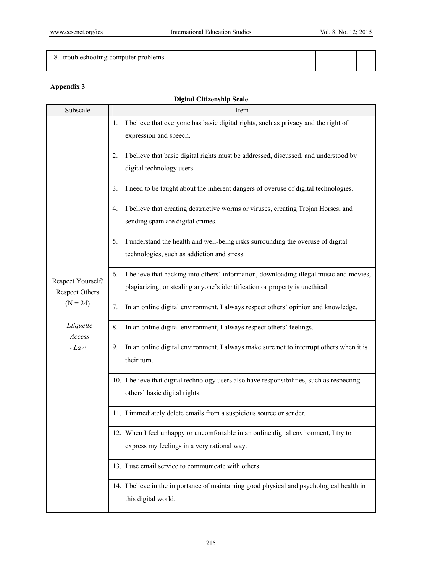| 18. troubleshooting computer problems |  |  |  |
|---------------------------------------|--|--|--|
|                                       |  |  |  |

# **Appendix 3**

# **Digital Citizenship Scale**

| Subscale                                   | Item                                                                                                                                                                        |
|--------------------------------------------|-----------------------------------------------------------------------------------------------------------------------------------------------------------------------------|
|                                            | I believe that everyone has basic digital rights, such as privacy and the right of<br>1.<br>expression and speech.                                                          |
|                                            | I believe that basic digital rights must be addressed, discussed, and understood by<br>2.<br>digital technology users.                                                      |
|                                            | I need to be taught about the inherent dangers of overuse of digital technologies.<br>3.                                                                                    |
|                                            | I believe that creating destructive worms or viruses, creating Trojan Horses, and<br>4.<br>sending spam are digital crimes.                                                 |
|                                            | I understand the health and well-being risks surrounding the overuse of digital<br>5.<br>technologies, such as addiction and stress.                                        |
| Respect Yourself/<br><b>Respect Others</b> | I believe that hacking into others' information, downloading illegal music and movies,<br>6.<br>plagiarizing, or stealing anyone's identification or property is unethical. |
| $(N = 24)$                                 | In an online digital environment, I always respect others' opinion and knowledge.<br>7.                                                                                     |
| - Etiquette<br>- Access                    | In an online digital environment, I always respect others' feelings.<br>8.                                                                                                  |
| $-Law$                                     | In an online digital environment, I always make sure not to interrupt others when it is<br>9.<br>their turn.                                                                |
|                                            | 10. I believe that digital technology users also have responsibilities, such as respecting<br>others' basic digital rights.                                                 |
|                                            | 11. I immediately delete emails from a suspicious source or sender.                                                                                                         |
|                                            | 12. When I feel unhappy or uncomfortable in an online digital environment, I try to<br>express my feelings in a very rational way.                                          |
|                                            | 13. I use email service to communicate with others                                                                                                                          |
|                                            | 14. I believe in the importance of maintaining good physical and psychological health in<br>this digital world.                                                             |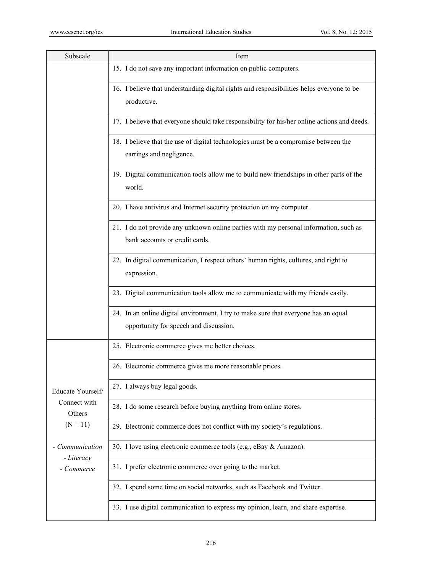| Subscale                      | Item                                                                                                                          |
|-------------------------------|-------------------------------------------------------------------------------------------------------------------------------|
|                               | 15. I do not save any important information on public computers.                                                              |
|                               | 16. I believe that understanding digital rights and responsibilities helps everyone to be<br>productive.                      |
|                               | 17. I believe that everyone should take responsibility for his/her online actions and deeds.                                  |
|                               | 18. I believe that the use of digital technologies must be a compromise between the<br>earrings and negligence.               |
|                               | 19. Digital communication tools allow me to build new friendships in other parts of the<br>world.                             |
|                               | 20. I have antivirus and Internet security protection on my computer.                                                         |
|                               | 21. I do not provide any unknown online parties with my personal information, such as<br>bank accounts or credit cards.       |
|                               | 22. In digital communication, I respect others' human rights, cultures, and right to<br>expression.                           |
|                               | 23. Digital communication tools allow me to communicate with my friends easily.                                               |
|                               | 24. In an online digital environment, I try to make sure that everyone has an equal<br>opportunity for speech and discussion. |
|                               | 25. Electronic commerce gives me better choices.                                                                              |
|                               | 26. Electronic commerce gives me more reasonable prices.                                                                      |
| Educate Yourself/             | 27. I always buy legal goods.                                                                                                 |
| Connect with<br>Others        | 28. I do some research before buying anything from online stores.                                                             |
| $(N = 11)$                    | 29. Electronic commerce does not conflict with my society's regulations.                                                      |
| - Communication<br>- Literacy | 30. I love using electronic commerce tools (e.g., eBay & Amazon).                                                             |
| - Commerce                    | 31. I prefer electronic commerce over going to the market.                                                                    |
|                               | 32. I spend some time on social networks, such as Facebook and Twitter.                                                       |
|                               | 33. I use digital communication to express my opinion, learn, and share expertise.                                            |